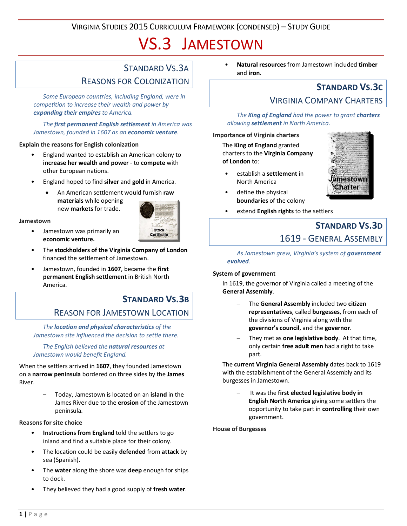VIRGINIA STUDIES 2015 CURRICULUM FRAMEWORK (CONDENSED) – STUDY GUIDE

# VS.3 JAMESTOWN

### STANDARD VS.3A REASONS FOR COLONIZATION

*Some European countries, including England, were in competition to increase their wealth and power by expanding their empires to America.*

#### *The first permanent English settlement in America was Jamestown, founded in 1607 as an economic venture.*

#### **Explain the reasons for English colonization**

- England wanted to establish an American colony to **increase her wealth and power** - to **compete** with other European nations.
- England hoped to find **silver** and **gold** in America.
	- An American settlement would furnish **raw materials** while opening
		- new **markets**for trade.



#### **Jamestown**

- Jamestown was primarily an **economic venture.**
- The **stockholders of the Virginia Company of London** financed the settlement of Jamestown.
- Jamestown, founded in **1607**, became the **first permanent English settlement** in British North America.

### **STANDARD VS.3B**

### REASON FOR JAMESTOWN LOCATION

*The location and physical characteristics of the Jamestown site influenced the decision to settle there.*

*The English believed the natural resources at Jamestown would benefit England.*

When the settlers arrived in **1607**, they founded Jamestown on a **narrow peninsula** bordered on three sides by the **James** River.

> – Today, Jamestown is located on an **island** in the James River due to the **erosion** of the Jamestown peninsula.

#### **Reasons for site choice**

- **Instructions from England** told the settlers to go inland and find a suitable place for their colony.
- The location could be easily **defended** from **attack** by sea (Spanish).
- The **water** along the shore was **deep** enough for ships to dock.
- They believed they had a good supply of **fresh water**.

• **Natural resources** from Jamestown included **timber** and **iron**.

# **STANDARD VS.3C**

### VIRGINIA COMPANY CHARTERS

*The King of England had the power to grant charters allowing settlement in North America.*

#### **Importance of Virginia charters**

The **King of England** granted charters to the **Virginia Company of London** to:

• establish a **settlement** in North America



- define the physical **boundaries** of the colony
- extend **English rights** to the settlers

## **STANDARD VS.3D** 1619 - GENERAL ASSEMBLY

*As Jamestown grew, Virginia's system of government evolved.*

#### **System of government**

In 1619, the governor of Virginia called a meeting of the **General Assembly**.

- The **General Assembly** included two **citizen representatives**, called **burgesses**, from each of the divisions of Virginia along with the **governor's council**, and the **governor**.
- They met as **one legislative body**. At that time, only certain **free adult men** had a right to take part.

The **current Virginia General Assembly** dates back to 1619 with the establishment of the General Assembly and its burgesses in Jamestown.

– It was the **first elected legislative body in English North America** giving some settlers the opportunity to take part in **controlling** their own government.

**House of Burgesses**